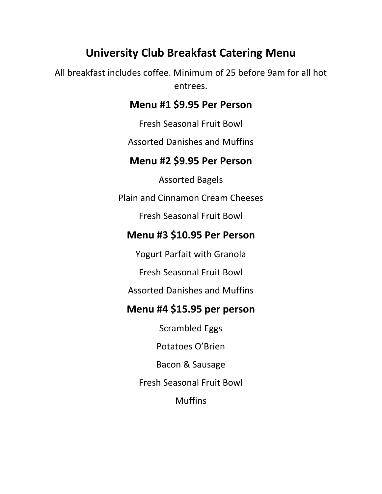# **University Club Breakfast Catering Menu**

All breakfast includes coffee. Minimum of 25 before 9am for all hot entrees.

#### **Menu #1 \$9.95 Per Person**

Fresh Seasonal Fruit Bowl

Assorted Danishes and Muffins

#### **Menu #2 \$9.95 Per Person**

Assorted Bagels

Plain and Cinnamon Cream Cheeses

Fresh Seasonal Fruit Bowl

# **Menu #3 \$10.95 Per Person**

Yogurt Parfait with Granola

Fresh Seasonal Fruit Bowl

Assorted Danishes and Muffins

#### **Menu #4 \$15.95 per person**

Scrambled Eggs

Potatoes O'Brien

Bacon & Sausage

Fresh Seasonal Fruit Bowl

**Muffins**